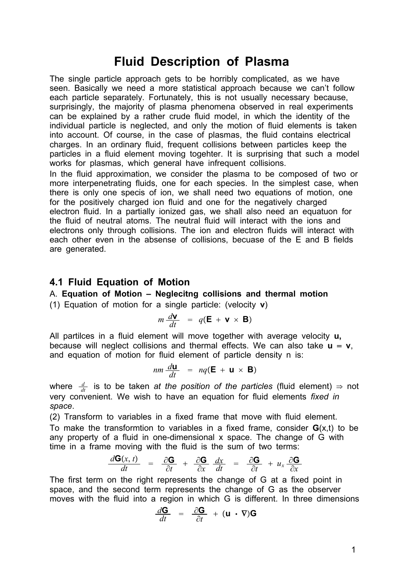# **Fluid Description of Plasma**

The single particle approach gets to be horribly complicated, as we have seen. Basically we need a more statistical approach because we can't follow each particle separately. Fortunately, this is not usually necessary because, surprisingly, the majority of plasma phenomena observed in real experiments can be explained by a rather crude fluid model, in which the identity of the individual particle is neglected, and only the motion of fluid elements is taken into account. Of course, in the case of plasmas, the fluid contains electrical charges. In an ordinary fluid, frequent collisions between particles keep the particles in a fluid element moving togehter. It is surprising that such a model works for plasmas, which general have infrequent collisions.

In the fluid approximation, we consider the plasma to be composed of two or more interpenetrating fluids, one for each species. In the simplest case, when there is only one specis of ion, we shall need two equations of motion, one for the positively charged ion fluid and one for the negatively charged electron fluid. In a partially ionized gas, we shall also need an equatuon for the fluid of neutral atoms. The neutral fluid will interact with the ions and electrons only through collisions. The ion and electron fluids will interact with each other even in the absense of collisions, becuase of the E and B fields are generated.

### **4.1 Fluid Equation of Motion**

### A. **Equation of Motion – Neglecitng collisions and thermal motion**

(1) Equation of motion for a single particle: (velocity **v**)

$$
m \frac{d\mathbf{v}}{dt} = q(\mathbf{E} + \mathbf{v} \times \mathbf{B})
$$

All partilces in a fluid element will move together with average velocity **u,** because will neglect collisions and thermal effects. We can also take  $\mathbf{u} = \mathbf{v}$ , and equation of motion for fluid element of particle density n is:

$$
nm \frac{d\mathbf{u}}{dt} = nq(\mathbf{E} + \mathbf{u} \times \mathbf{B})
$$

where  $\frac{d}{dt}$  is to be taken *at the position of the particles* (fluid element)  $\Rightarrow$  not very convenient. We wish to have an equation for fluid elements *fixed in space*.

(2) Transform to variables in a fixed frame that move with fluid element. To make the transformtion to variables in a fixed frame, consider **G**(x,t) to be any property of a fluid in one-dimensional x space. The change of G with time in a frame moving with the fluid is the sum of two terms:

$$
\frac{d\mathbf{G}(x,t)}{dt} = \frac{\partial \mathbf{G}}{\partial t} + \frac{\partial \mathbf{G}}{\partial x} \frac{dx}{dt} = \frac{\partial \mathbf{G}}{\partial t} + u_x \frac{\partial \mathbf{G}}{\partial x}
$$

The first term on the right represents the change of G at a fixed point in space, and the second term represents the change of G as the observer moves with the fluid into a region in which G is different. In three dimensions

$$
\frac{d\mathbf{G}}{dt} = \frac{\partial \mathbf{G}}{\partial t} + (\mathbf{u} \cdot \nabla)\mathbf{G}
$$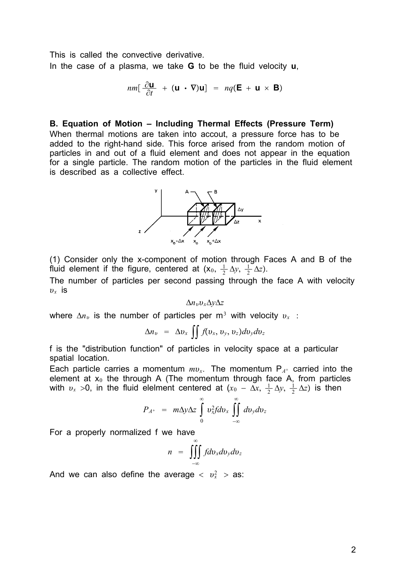This is called the convective derivative. In the case of a plasma, we take **G** to be the fluid velocity **u**,

$$
nm[\frac{\partial \mathbf{u}}{\partial t} + (\mathbf{u} \cdot \nabla)\mathbf{u}] = nq(\mathbf{E} + \mathbf{u} \times \mathbf{B})
$$

#### **B. Equation of Motion – Including Thermal Effects (Pressure Term)**

When thermal motions are taken into accout, a pressure force has to be added to the right-hand side. This force arised from the random motion of particles in and out of a fluid element and does not appear in the equation for a single particle. The random motion of the particles in the fluid element is described as a collective effect.



(1) Consider only the x-component of motion through Faces A and B of the fluid element if the figure, centered at  $(x_0, \frac{1}{2} \Delta y, \frac{1}{2} \Delta z)$ .

The number of particles per second passing through the face A with velocity  $v<sub>x</sub>$  is

 $\Delta n_v v_x \Delta y \Delta z$ 

where  $\Delta n_v$  is the number of particles per m<sup>3</sup> with velocity  $v_x$ :

$$
\Delta n_v = \Delta v_x \iint f(v_x, v_y, v_z) dv_y dv_z
$$

f is the "distribution function" of particles in velocity space at a particular spatial location.

Each particle carries a momentum  $mv_x$ . The momentum  $P_{A^+}$  carried into the element at  $x_0$  the through A (The momentum through face A, from particles with  $v_x > 0$ , in the fluid elelment centered at  $(x_0 - \Delta x, \frac{1}{2} \Delta y, \frac{1}{2} \Delta z)$  is then

$$
P_{A^{+}} = m\Delta y \Delta z \int_{0}^{\infty} v_{x}^{2} f dv_{x} \int_{-\infty}^{\infty} dv_{y} dv_{z}
$$

For a properly normalized f we have

$$
n = \iiint\limits_{-\infty}^{\infty} f dv_x dv_y dv_z
$$

And we can also define the average  $\langle v_x^2 \rangle$  as: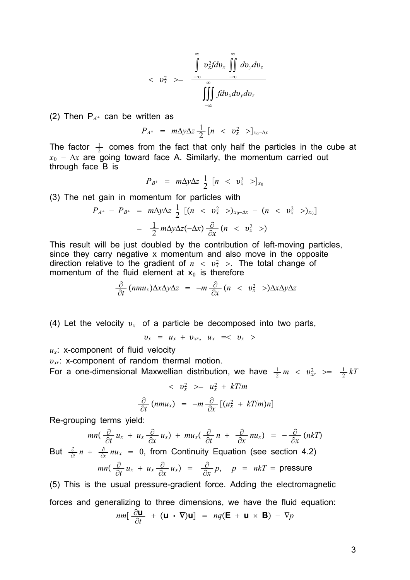$$
\langle v_x^2 \rangle = \frac{\int_{-\infty}^{\infty} v_x^2 dv_x \int_{-\infty}^{\infty} dv_y dv_z}{\int_{-\infty}^{\infty} f dv_x dv_y dv_z}
$$

(2) Then  $P_{A^+}$  can be written as

$$
P_{A^+} = m\Delta y \Delta z \frac{1}{2} \begin{bmatrix} n < & v_x^2 > \end{bmatrix}_{x_0 - \Delta x}
$$

The factor  $\frac{1}{2}$  comes from the fact that only half the particles in the cube at  $x_0 - \Delta x$  are going toward face A. Similarly, the momentum carried out through face B is

$$
P_{B^+} = m\Delta y \Delta z \frac{1}{2} [n \ < \ v_x^2 \ > ]_{x_0}
$$

(3) The net gain in momentum for particles with

$$
P_{A^{+}} - P_{B^{+}} = m\Delta y \Delta z \frac{1}{2} [(n < v_{x}^{2} >)_{x_{0}-\Delta x} - (n < v_{x}^{2} >)_{x_{0}}]
$$
  
=  $\frac{1}{2} m\Delta y \Delta z (-\Delta x) \frac{\partial}{\partial x} (n < v_{x}^{2} >)$ 

This result will be just doubled by the contribution of left-moving particles, since they carry negative x momentum and also move in the opposite direction relative to the gradient of  $n < v_x^2 >$ . The total change of momentum of the fluid element at  $x_0$  is therefore

$$
\frac{\partial}{\partial t} (nmu_x) \Delta x \Delta y \Delta z = -m \frac{\partial}{\partial x} (n < v_x^2) \Delta x \Delta y \Delta z
$$

(4) Let the velocity  $v_r$  of a particle be decomposed into two parts,

 $v_x = u_x + v_{xr}, u_x = \langle v_x \rangle$ 

 $u_x$ : x-component of fluid velocity

*v<sub>xr</sub>*: x-component of random thermal motion.

For a one-dimensional Maxwellian distribution, we have  $\frac{1}{2}m < v_{xx}^2 \geq \frac{1}{2}kT$ 

$$
\langle v_x^2 \rangle = u_x^2 + kT/m
$$
  

$$
\frac{\partial}{\partial t} (mmu_x) = -m \frac{\partial}{\partial x} [(u_x^2 + kT/m)n]
$$

Re-grouping terms yield:

$$
mn\left(\frac{\partial}{\partial t}u_x + u_x\frac{\partial}{\partial x}u_x\right) + mu_x\left(\frac{\partial}{\partial t}n + \frac{\partial}{\partial x}nu_x\right) = -\frac{\partial}{\partial x}(nkT)
$$
  
But  $\frac{\partial}{\partial t}n + \frac{\partial}{\partial x}nu_x = 0$ , from Continuity Equation (see section 4.2)

$$
mn\left(\frac{\partial}{\partial t}u_x + u_x \frac{\partial}{\partial x}u_x\right) = \frac{\partial}{\partial x}p, \quad p = nkT = \text{pressure}
$$

(5) This is the usual pressure-gradient force. Adding the electromagnetic forces and generalizing to three dimensions, we have the fluid equation:

$$
nm[\frac{\partial \mathbf{u}}{\partial t} + (\mathbf{u} \cdot \nabla)\mathbf{u}] = nq(\mathbf{E} + \mathbf{u} \times \mathbf{B}) - \nabla p
$$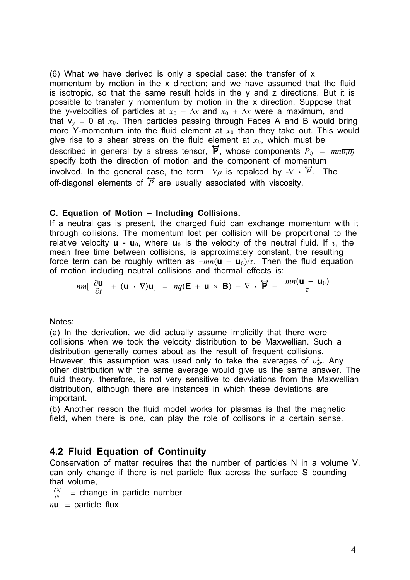(6) What we have derived is only a special case: the transfer of x momentum by motion in the x direction; and we have assumed that the fluid is isotropic, so that the same result holds in the y and z directions. But it is possible to transfer y momentum by motion in the x direction. Suppose that the y-velocities of particles at  $x_0 - \Delta x$  and  $x_0 + \Delta x$  were a maximum, and that  $v_y = 0$  at  $x_0$ . Then particles passing through Faces A and B would bring more Y-momentum into the fluid element at  $x<sub>0</sub>$  than they take out. This would give rise to a shear stress on the fluid element at  $x<sub>0</sub>$ , which must be described in general by a stress tensor,  $\overleftrightarrow{P}$ , whose components  $P_{ij} = mn\overline{v_i v_j}$ specify both the direction of motion and the component of momentum involved. In the general case, the term  $-\nabla p$  is repalced by  $-\nabla \cdot \overleftrightarrow{P}$ . The off-diagonal elements of  $\overleftrightarrow{P}$  are usually associated with viscosity.

### **C. Equation of Motion – Including Collisions.**

If a neutral gas is present, the charged fluid can exchange momentum with it through collisions. The momentum lost per collision will be proportional to the relative velocity **u** - **u**<sub>0</sub>, where **u**<sub>0</sub> is the velocity of the neutral fluid. If  $\tau$ , the mean free time between collisions, is approximately constant, the resulting force term can be roughly written as  $-mn(u - u_0)/\tau$ . Then the fluid equation of motion including neutral collisions and thermal effects is:

$$
nm[\frac{\partial \mathbf{u}}{\partial t} + (\mathbf{u} \cdot \nabla) \mathbf{u}] = nq(\mathbf{E} + \mathbf{u} \times \mathbf{B}) - \nabla \cdot \overleftrightarrow{\mathbf{P}} - \frac{mn(\mathbf{u} - \mathbf{u}_0)}{\tau}
$$

Notes:

(a) In the derivation, we did actually assume implicitly that there were collisions when we took the velocity distribution to be Maxwellian. Such a distribution generally comes about as the result of frequent collisions. However, this assumption was used only to take the averages of  $v_{xr}^2$ . Any other distribution with the same average would give us the same answer. The fluid theory, therefore, is not very sensitive to devviations from the Maxwellian distribution, although there are instances in which these deviations are important.

(b) Another reason the fluid model works for plasmas is that the magnetic field, when there is one, can play the role of collisons in a certain sense.

## **4.2 Fluid Equation of Continuity**

Conservation of matter requires that the number of particles N in a volume V, can only change if there is net particle flux across the surface S bounding that volume,

 $\frac{\partial N}{\partial t}$  = change in particle number

 $n**u** =$  particle flux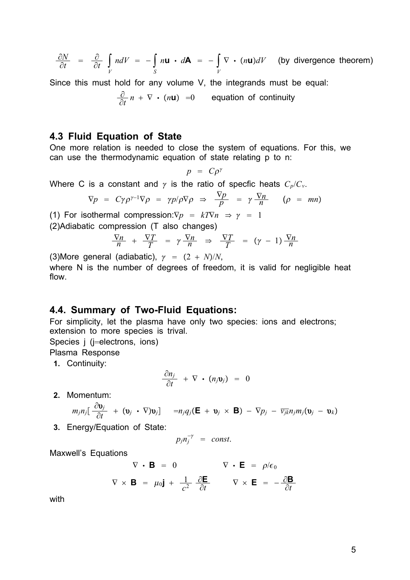$$
\frac{\partial N}{\partial t} = \frac{\partial}{\partial t} \int\limits_V ndV = -\int\limits_S n \mathbf{u} \cdot d\mathbf{A} = -\int\limits_V \nabla \cdot (n \mathbf{u}) dV \quad \text{(by divergence theorem)}
$$

Since this must hold for any volume V, the integrands must be equal:

$$
\frac{\partial}{\partial t} n + \nabla \cdot (n\mathbf{u}) = 0
$$
 equation of continuity

### **4.3 Fluid Equation of State**

One more relation is needed to close the system of equations. For this, we can use the thermodynamic equation of state relating p to n:

$$
p = C \rho^{\gamma}
$$

Where C is a constant and  $\gamma$  is the ratio of specfic heats  $C_p/C_v$ .

$$
\nabla p = C\gamma \rho^{\gamma - 1} \nabla \rho = \gamma p/\rho \nabla \rho \Rightarrow \frac{\nabla p}{p} = \gamma \frac{\nabla n}{n} \quad (\rho = mn)
$$

(1) For isothermal compression: $\nabla p = kT\nabla n \Rightarrow \gamma = 1$ 

(2)Adiabatic compression (T also changes)

$$
\frac{\nabla n}{n} + \frac{\nabla T}{T} = \gamma \frac{\nabla n}{n} \Rightarrow \frac{\nabla T}{T} = (\gamma - 1) \frac{\nabla n}{n}
$$

(3)More general (adiabatic),  $\gamma = (2 + N)/N$ ,

where N is the number of degrees of freedom, it is valid for negligible heat flow.

### **4.4. Summary of Two-Fluid Equations:**

For simplicity, let the plasma have only two species: ions and electrons; extension to more species is trival.

Species j (j=electrons, ions)

Plasma Response

**1.** Continuity:

$$
\frac{\partial n_j}{\partial t} + \nabla \cdot (n_j \mathbf{v}_j) = 0
$$

**2.** Momentum:

$$
m_j n_j \left[ \frac{\partial \mathbf{v}_j}{\partial t} + (\mathbf{v}_j \cdot \nabla) \mathbf{v}_j \right] = n_j q_j (\mathbf{E} + \mathbf{v}_j \times \mathbf{B}) - \nabla p_j - \overline{v_{jk}} n_j m_j (\mathbf{v}_j - \mathbf{v}_k)
$$

**3.** Energy/Equation of State:

$$
p_j n_j^{-\gamma} = const.
$$

Maxwell's Equations

$$
\nabla \cdot \mathbf{B} = 0 \qquad \nabla \cdot \mathbf{E} = \rho/\epsilon_0
$$
  

$$
\nabla \times \mathbf{B} = \mu_0 \mathbf{j} + \frac{1}{c^2} \frac{\partial \mathbf{E}}{\partial t} \qquad \nabla \times \mathbf{E} = -\frac{\partial \mathbf{B}}{\partial t}
$$

with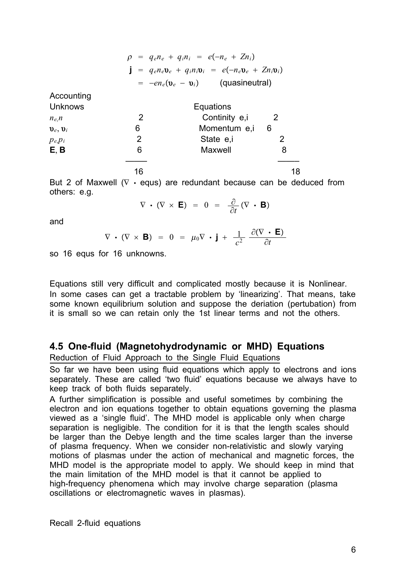|                              |                                                                                                                                                 | $\rho = q_e n_e + q_i n_i = e(-n_e + Z n_i)$ |                            |
|------------------------------|-------------------------------------------------------------------------------------------------------------------------------------------------|----------------------------------------------|----------------------------|
|                              | $\mathbf{j} = q_e n_e \mathbf{v}_e + q_i n_i \mathbf{v}_i = e(-n_e \mathbf{v}_e + Z n_i \mathbf{v}_i)$<br>$= -e n_e (v_e - v_i)$ (quasineutral) |                                              |                            |
|                              |                                                                                                                                                 |                                              |                            |
| Accounting                   |                                                                                                                                                 |                                              |                            |
| <b>Unknows</b>               | Equations                                                                                                                                       |                                              |                            |
| $n_{e}$ , $n$                | 2                                                                                                                                               | Continity e,i                                | $\overline{\phantom{0}}$ 2 |
| $\mathbf{v}_e, \mathbf{v}_i$ | 6                                                                                                                                               | Momentum e,i 6                               |                            |
| $p_{e}p_i$                   | 2                                                                                                                                               | State e.i                                    | 2                          |
| E, B                         | 6                                                                                                                                               | Maxwell                                      | 8                          |
|                              |                                                                                                                                                 |                                              |                            |
|                              | 16                                                                                                                                              |                                              | 18                         |

But 2 of Maxwell ( $\nabla \cdot$  equs) are redundant because can be deduced from others: e.g.

 $\nabla \cdot (\nabla \times \mathbf{E}) = 0 = \frac{\partial}{\partial t} (\nabla \cdot \mathbf{B})$ 

and

$$
\nabla \cdot (\nabla \times \mathbf{B}) = 0 = \mu_0 \nabla \cdot \mathbf{j} + \frac{1}{c^2} \frac{\partial (\nabla \cdot \mathbf{E})}{\partial t}
$$

so 16 equs for 16 unknowns.

Equations still very difficult and complicated mostly because it is Nonlinear. In some cases can get a tractable problem by 'linearizing'. That means, take some known equilibrium solution and suppose the deriation (pertubation) from it is small so we can retain only the 1st linear terms and not the others.

### **4.5 One-fluid (Magnetohydrodynamic or MHD) Equations**

Reduction of Fluid Approach to the Single Fluid Equations

So far we have been using fluid equations which apply to electrons and ions separately. These are called 'two fluid' equations because we always have to keep track of both fluids separately.

A further simplification is possible and useful sometimes by combining the electron and ion equations together to obtain equations governing the plasma viewed as a 'single fluid'. The MHD model is applicable only when charge separation is negligible. The condition for it is that the length scales should be larger than the Debye length and the time scales larger than the inverse of plasma frequency. When we consider non-relativistic and slowly varying motions of plasmas under the action of mechanical and magnetic forces, the MHD model is the appropriate model to apply. We should keep in mind that the main limitation of the MHD model is that it cannot be applied to high-frequency phenomena which may involve charge separation (plasma oscillations or electromagnetic waves in plasmas).

Recall 2-fluid equations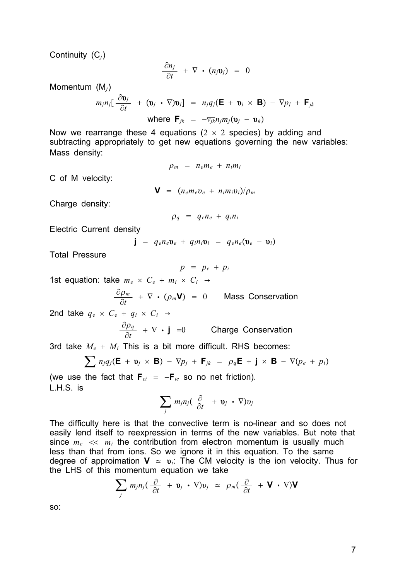Continuity (C*j*)

$$
\frac{\partial n_j}{\partial t} + \nabla \cdot (n_j \mathbf{v}_j) = 0
$$

Momentum (M*j*)

$$
m_j n_j \left[ \frac{\partial \mathbf{v}_j}{\partial t} + (\mathbf{v}_j \cdot \nabla) \mathbf{v}_j \right] = n_j q_j (\mathbf{E} + \mathbf{v}_j \times \mathbf{B}) - \nabla p_j + \mathbf{F}_{jk}
$$
  
where  $\mathbf{F}_{jk} = -\overline{v_{jk}} n_j m_j (\mathbf{v}_j - \mathbf{v}_k)$ 

Now we rearrange these 4 equations ( $2 \times 2$  species) by adding and subtracting appropriately to get new equations governing the new variables: Mass density:

$$
\rho_m = n_e m_e + n_i m_i
$$

C of M velocity:

 $V = (n_e m_e v_e + n_i m_i v_i)/\rho_m$ 

Charge density:

$$
\rho_q = q_e n_e + q_i n_i
$$

Electric Current density

 $\mathbf{j} = q_e n_e \mathbf{v}_e + q_i n_i \mathbf{v}_i = q_e n_e (\mathbf{v}_e - \mathbf{v}_i)$ 

Total Pressure

$$
p = p_e + p_i
$$

1st equation: take  $m_e \times C_e + m_i \times C_i \rightarrow$ 

$$
\frac{\partial \rho_m}{\partial t} + \nabla \cdot (\rho_m \mathbf{V}) = 0
$$
 Mass Conservation

2nd take  $q_e \times C_e + q_i \times C_i$ 

$$
\frac{\partial \rho_q}{\partial t} + \nabla \cdot \mathbf{j} = 0
$$
 Change Conservation

3rd take  $M_e + M_i$  This is a bit more difficult. RHS becomes:

$$
\sum n_j q_j (\mathbf{E} + \mathbf{v}_j \times \mathbf{B}) - \nabla p_j + \mathbf{F}_{jk} = \rho_q \mathbf{E} + \mathbf{j} \times \mathbf{B} - \nabla (p_e + p_i)
$$

(we use the fact that  $\mathbf{F}_{ei} = -\mathbf{F}_{ie}$  so no net friction). L.H.S. is

$$
\sum_j m_j n_j (\frac{\partial}{\partial t} + \mathbf{v}_j \cdot \nabla) v_j
$$

The difficulty here is that the convective term is no-linear and so does not easily lend itself to reexpression in terms of the new variables. But note that since  $m_e \ll m_i$  the contribution from electron momentum is usually much less than that from ions. So we ignore it in this equation. To the same degree of approimation  $V \approx v_i$ : The CM velocity is the ion velocity. Thus for the LHS of this momentum equation we take

$$
\sum_j m_j n_j (\frac{\partial}{\partial t} + \mathbf{v}_j \cdot \nabla) v_j \simeq \rho_m (\frac{\partial}{\partial t} + \mathbf{V} \cdot \nabla) \mathbf{V}
$$

so: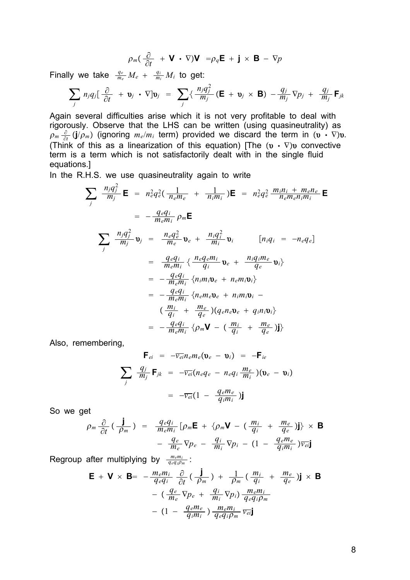$$
\rho_m(\frac{\partial}{\partial t} + \mathbf{V} \cdot \nabla)\mathbf{V} = \rho_q \mathbf{E} + \mathbf{j} \times \mathbf{B} - \nabla p
$$

Finally we take  $\frac{q_e}{m_e}M_e + \frac{q_i}{m_i}M_i$  to get:

$$
\sum_j n_j q_j \left[ \frac{\partial}{\partial t} + \mathbf{v}_j \cdot \nabla \right] \mathbf{v}_j = \sum_j \left\{ \frac{n_j q_j^2}{m_j} \left( \mathbf{E} + \mathbf{v}_j \times \mathbf{B} \right) - \frac{q_j}{m_j} \nabla p_j + \frac{q_j}{m_j} \mathbf{F}_{jk} \right\}
$$

Again several difficulties arise which it is not very profitable to deal with rigorously. Observe that the LHS can be written (using quasineutrality) as  $\rho_m \frac{\partial}{\partial t} (j/\rho_m)$  (ignoring  $m_e/m_i$  term) provided we discard the term in  $(v \cdot \nabla)v$ . (Think of this as a linearization of this equation) [The  $(\mathbf{v} \cdot \nabla) \mathbf{v}$  convective term is a term which is not satisfactorily dealt with in the single fluid equations.]

In the R.H.S. we use quasineutrality again to write

$$
\sum_{j} \frac{n_j q_j^2}{m_j} \mathbf{E} = n_e^2 q_e^2 \left( \frac{1}{n_e m_e} + \frac{1}{n_i m_i} \right) \mathbf{E} = n_e^2 q_e^2 \frac{m_i n_i + m_e n_e}{n_e m_e n_i m_i} \mathbf{E}
$$
  
\n
$$
= -\frac{q_e q_i}{m_e m_i} \rho_m \mathbf{E}
$$
  
\n
$$
\sum_{j} \frac{n_j q_j^2}{m_j} \mathbf{v}_j = \frac{n_e q_e^2}{m_e} \mathbf{v}_e + \frac{n_i q_i^2}{m_i} \mathbf{v}_i \qquad [n_i q_i = -n_e q_e]
$$
  
\n
$$
= \frac{q_e q_i}{m_e m_i} \left\{ \frac{n_e q_e m_i}{q_i} \mathbf{v}_e + \frac{n_i q_i m_e}{q_e} \mathbf{v}_i \right\}
$$
  
\n
$$
= -\frac{q_e q_i}{m_e m_i} \left\{ n_i m_i \mathbf{v}_e + n_i m_i \mathbf{v}_i - \frac{q_e q_i}{q_i} + \frac{m_e}{q_e} \right\} \left\{ q_e n_e \mathbf{v}_e + q_i n_i \mathbf{v}_i \right\}
$$
  
\n
$$
= -\frac{q_e q_i}{m_e m_i} \left\{ p_m \mathbf{V} - \left( \frac{m_i}{q_i} + \frac{m_e}{q_e} \right) \mathbf{j} \right\}
$$

Also, remembering,

$$
\mathbf{F}_{ei} = -\overline{v_{ei}} n_e m_e (\mathbf{v}_e - \mathbf{v}_i) = -\mathbf{F}_{ie}
$$
\n
$$
\sum_j \frac{q_j}{m_j} \mathbf{F}_{jk} = -\overline{v_{ei}} (n_e q_e - n_e q_i \frac{m_e}{m_i}) (\mathbf{v}_e - \mathbf{v}_i)
$$
\n
$$
= -\overline{v_{ei}} (1 - \frac{q_e m_e}{q_i m_i}) \mathbf{j}
$$

So we get

$$
\rho_m \frac{\partial}{\partial t} \left( \frac{\mathbf{j}}{\rho_m} \right) = \frac{q_e q_i}{m_e m_i} \left[ \rho_m \mathbf{E} + \{ \rho_m \mathbf{V} - \left( \frac{m_i}{q_i} + \frac{m_e}{q_e} \right) \mathbf{j} \} \times \mathbf{B} \n- \frac{q_e}{m_e} \nabla p_e - \frac{q_i}{m_i} \nabla p_i - \left( 1 - \frac{q_e m_e}{q_i m_i} \right) \overline{v_{ei}} \mathbf{j}
$$

Regroup after multiplying by  $\frac{m_e m_i}{q_e q_i \rho_m}$ :

$$
\mathbf{E} + \mathbf{V} \times \mathbf{B} = -\frac{m_e m_i}{q_e q_i} \frac{\partial}{\partial t} \left( \frac{\mathbf{j}}{\rho_m} \right) + \frac{1}{\rho_m} \left( \frac{m_i}{q_i} + \frac{m_e}{q_e} \right) \mathbf{j} \times \mathbf{B}
$$

$$
- \left( \frac{q_e}{m_e} \nabla p_e + \frac{q_i}{m_i} \nabla p_i \right) \frac{m_e m_i}{q_e q_i \rho_m}
$$

$$
- \left( 1 - \frac{q_e m_e}{q_i m_i} \right) \frac{m_e m_i}{q_e q_i \rho_m} \overline{v_{ei}} \mathbf{j}
$$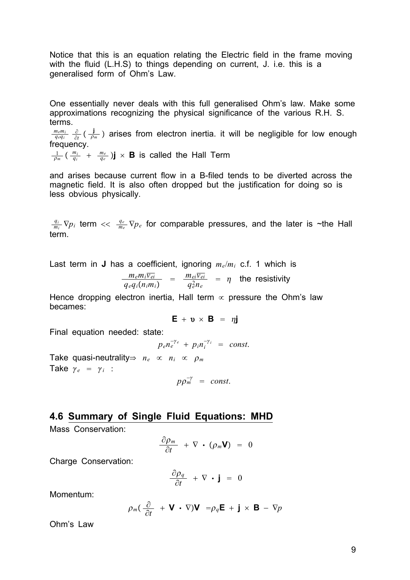Notice that this is an equation relating the Electric field in the frame moving with the fluid (L.H.S) to things depending on current, J. i.e. this is a generalised form of Ohm's Law.

One essentially never deals with this full generalised Ohm's law. Make some approximations recognizing the physical significance of the various R.H. S. terms.

*memi*  $\frac{n_e m_i}{q_e q_i}$   $\frac{\partial}{\partial t}$  ( $\frac{\dot{J}}{\rho_m}$ ) arises from electron inertia. it will be negligible for low enough frequency.

 $\frac{1}{\rho_m}$  ( $\frac{m_i}{q_i}$  +  $\frac{m_e}{q_e}$ )**j**  $\times$  **B** is called the Hall Term

and arises because current flow in a B-filed tends to be diverted across the magnetic field. It is also often dropped but the justification for doing so is less obvious physically.

 $\frac{q_i}{m_i}$   $\nabla p_i$  term  $<< \frac{q_e}{m_e}$   $\nabla p_e$  for comparable pressures, and the later is ~the Hall term.

Last term in **J** has a coefficient, ignoring *me*/*mi* c.f. 1 which is

$$
\frac{m_e m_i \overline{v_{ei}}}{q_e q_i (n_i m_i)} = \frac{m_{ei} \overline{v_{ei}}}{q_e^2 n_e} = \eta
$$
 the resistivity

Hence dropping electron inertia, Hall term  $\infty$  pressure the Ohm's law becames:

$$
\mathbf{E} + \mathbf{v} \times \mathbf{B} = \eta \mathbf{j}
$$

Final equation needed: state:

 $p_e n_e^{-\gamma_e} + p_i n_i^{-\gamma_i} = const.$ 

Take quasi-neutrality  $\Rightarrow$   $n_e \propto n_i \propto \rho_m$ Take  $\gamma_e = \gamma_i$  :

$$
p p_m^{-\gamma} = const.
$$

### **4.6 Summary of Single Fluid Equations: MHD**

Mass Conservation:

$$
\frac{\partial \rho_m}{\partial t} + \nabla \cdot (\rho_m \mathbf{V}) = 0
$$

Charge Conservation:

$$
\frac{\partial \rho_q}{\partial t} + \nabla \cdot \mathbf{j} = 0
$$

Momentum:

$$
\rho_m(\frac{\partial}{\partial t} + \mathbf{V} \cdot \nabla)\mathbf{V} = \rho_q \mathbf{E} + \mathbf{j} \times \mathbf{B} - \nabla p
$$

Ohm's Law